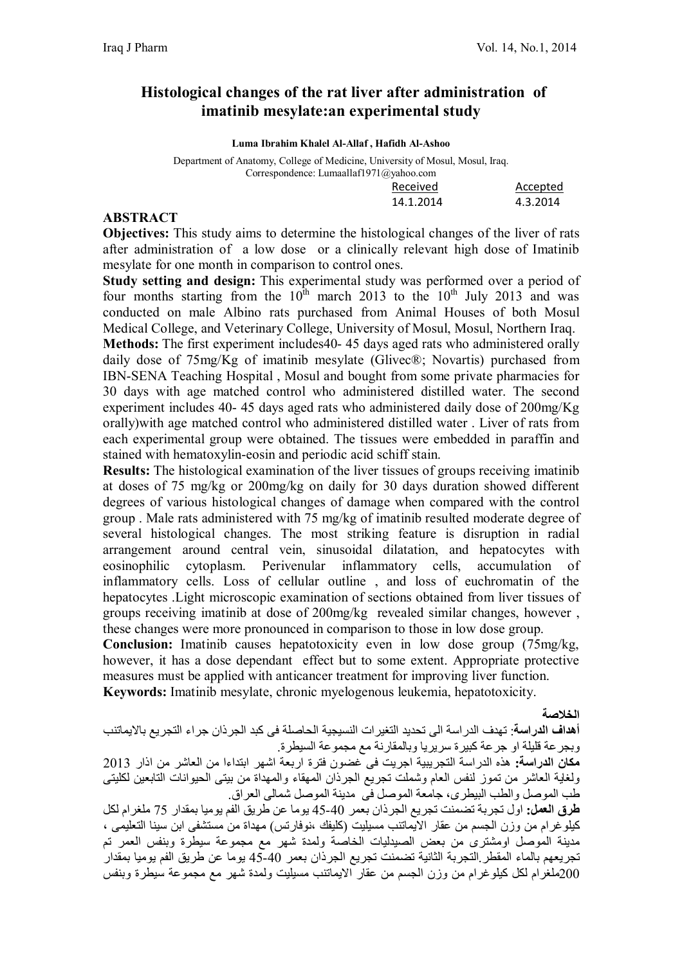# **Histological changes of the rat liver after administration of imatinib mesylate:an experimental study**

**Luma Ibrahim Khalel Al-Allaf , Hafidh Al-Ashoo**

Department of Anatomy, College of Medicine, University of Mosul, Mosul, Iraq. Correspondence: Lumaallaf1971@yahoo.com

| <b>Received</b> | Accepted |
|-----------------|----------|
| 14.1.2014       | 4.3.2014 |

#### **ABSTRACT**

**Objectives:** This study aims to determine the histological changes of the liver of rats after administration of a low dose or a clinically relevant high dose of Imatinib mesylate for one month in comparison to control ones.

**Study setting and design:** This experimental study was performed over a period of four months starting from the  $10^{th}$  march 2013 to the  $10^{th}$  July 2013 and was conducted on male Albino rats purchased from Animal Houses of both Mosul Medical College, and Veterinary College, University of Mosul, Mosul, Northern Iraq. **Methods:** The first experiment includes40- 45 days aged rats who administered orally daily dose of 75mg/Kg of imatinib mesylate (Glivec®; Novartis) purchased from IBN-SENA Teaching Hospital , Mosul and bought from some private pharmacies for 30 days with age matched control who administered distilled water. The second experiment includes 40- 45 days aged rats who administered daily dose of 200mg/Kg orally)with age matched control who administered distilled water . Liver of rats from each experimental group were obtained. The tissues were embedded in paraffin and stained with hematoxylin-eosin and periodic acid schiff stain.

**Results:** The histological examination of the liver tissues of groups receiving imatinib at doses of 75 mg/kg or 200mg/kg on daily for 30 days duration showed different degrees of various histological changes of damage when compared with the control group . Male rats administered with 75 mg/kg of imatinib resulted moderate degree of several histological changes. The most striking feature is disruption in radial arrangement around central vein, sinusoidal dilatation, and hepatocytes with eosinophilic cytoplasm. Perivenular inflammatory cells, accumulation of inflammatory cells. Loss of cellular outline , and loss of euchromatin of the hepatocytes .Light microscopic examination of sections obtained from liver tissues of groups receiving imatinib at dose of 200mg/kg revealed similar changes, however , these changes were more pronounced in comparison to those in low dose group.

**Conclusion:** Imatinib causes hepatotoxicity even in low dose group (75mg/kg, however, it has a dose dependant effect but to some extent. Appropriate protective measures must be applied with anticancer treatment for improving liver function.

**Keywords:** Imatinib mesylate, chronic myelogenous leukemia, hepatotoxicity.

**الخلاصة** 

**أھداف الدراسة**: تھدف الدراسة الى تحدید التغیرات النسیجیة الحاصلة فى كبد الجرذان جراء التجریع بالایماتنب وبجرعة قلیلة او جرعة كبیرة سریریا وبالمقارنة مع مجموعة السیطرة.

**مكان الدراسة:** ھذه الدراسة التجریبیة اجریت فى غضون فترة اربعة اشھر ابتداءا من العاشر من اذار 2013 ولغایة العاشر من تموز لنفس العام وشملت تجریع الجرذان المھقاء والمھداة من بیتى الحیوانات التابعین لكلیتى طب الموصل والطب البیطرى، جامعة الموصل فى مدینة الموصل شمالى العراق.

**طرق العمل:** اول تجربة تضمنت تجریع الجرذان بعمر 45-40 یوما عن طریق الفم یومیا بمقدار 75 ملغرام لكل كیلوغرام من وزن الجسم من عقار الایماتنب مسیلیت (كلیفك ،نوفارتس) مھداة من مستشفى ابن سینا التعلیمى ، مدینة الموصل اومشترى من بعض الصیدلیات الخاصة ولمدة شھر مع مجموعة سیطرة وبنفس العمر تم تجریعھم بالماء المقطر.التجربة الثانیة تضمنت تجریع الجرذان بعمر 45-40 یوما عن طریق الفم یومیا بمقدار 200ملغرام لكل كیلوغرام من وزن الجسم من عقار الایماتنب مسیلیت ولمدة شھر مع مجموعة سیطرة وبنفس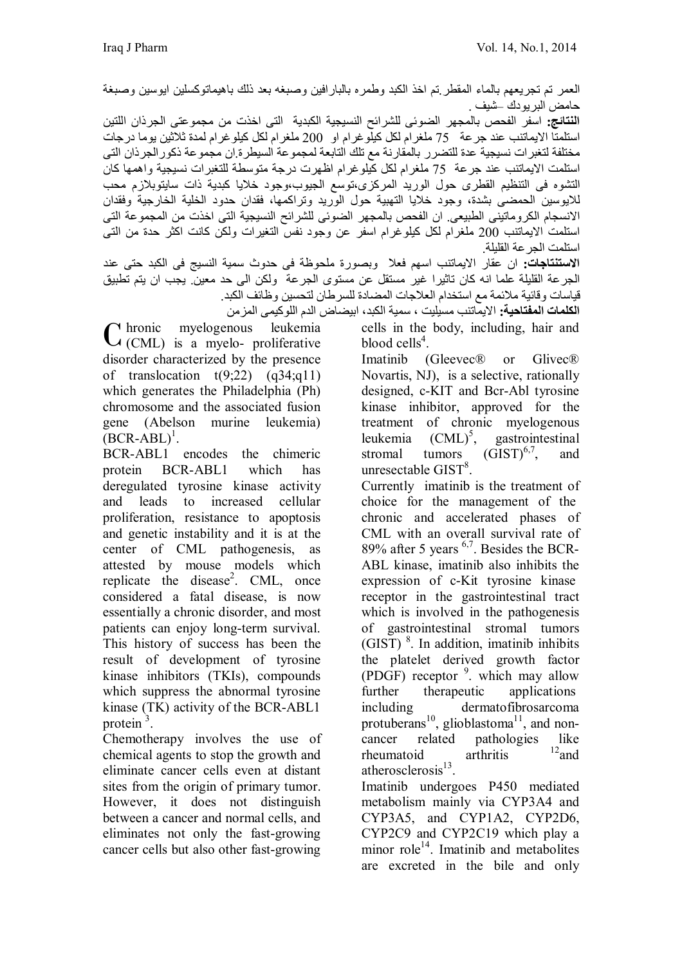العمر تم تجریعھم بالماء المقطر.تم اخذ الكبد وطمره بالبارافین وصبغھ بعد ذلك باھیماتوكسلین ایوسین وصبغة حامض البریودك –شیف .

**النتائج:** اسفر الفحص بالمجھر الضوئى للشرائح النسیجیة الكبدیة التى اخذت من مجموعتى الجرذان اللتین استلمتا الایماتنب عند جرعة 75 ملغرام لكل كیلوغرام او 200 ملغرام لكل كیلوغرام لمدة ثلاثین یوما درجات مختلفة لتغبرات نسیجیة عدة للتضرر بالمقارنة مع تلك التابعة لمجموعة السیطرة.ان مجموعة ذكورالجرذان التى استلمت الایماتنب عند جرعة 75 ملغرام لكل كیلوغرام اظھرت درجة متوسطة للتغبرات نسیجیة واھمھا كان التشوه فى التنظیم القطرى حول الورید المركزى،توسع الجیوب،وجود خلایا كبدیة ذات سایتوبلازم محب للایوسین الحمضى بشدة، وجود خلایا التھبیة حول الورید وتراكمھا، فقدان حدود الخلیة الخارجیة وفقدان الانسجام الكروماتینى الطبیعى. ان الفحص بالمجھر الضوئى للشرائح النسیجیة التى اخذت من المجموعة التى استلمت الایماتنب 200 ملغرام لكل كیلوغرام اسفر عن وجود نفس التغیرات ولكن كانت اكثر حدة من التى استلمت الجرعة القلیلة.

**الاستنتاجات:** ان عقار الایماتنب اسھم فعلا وبصورة ملحوظة فى حدوث سمیة النسیج فى الكبد حتى عند الجرعة القلیلة علما انھ كان تاثیرا غیر مستقل عن مستوى الجرعة ولكن الى حد معین. یجب ان یتم تطبیق قیاسات وقائیة ملائمة مع استخدام العلاجات المضادة للسرطان لتحسین وظائف الكبد.

40

**الكلمات المفتاحیة:** الایماتنب مسیلیت ، سمیة الكبد، ابیضاض الدم اللوكیمى المزمن

hronic myelogenous leukemia Chronic myelogenous leukemia<br>
C(CML) is a myelo- proliferative disorder characterized by the presence of translocation  $t(9:22)$   $(q34:q11)$ which generates the Philadelphia (Ph) chromosome and the associated fusion gene (Abelson murine leukemia)  $(BCR-ABL)^{1}$ .

BCR-ABL1 encodes the chimeric protein BCR-ABL1 which has deregulated tyrosine kinase activity and leads to increased cellular proliferation, resistance to apoptosis and genetic instability and it is at the center of CML pathogenesis, as attested by mouse models which replicate the disease<sup>2</sup>. CML, once considered a fatal disease, is now essentially a chronic disorder, and most patients can enjoy long-term survival. This history of success has been the result of development of tyrosine kinase inhibitors (TKIs), compounds which suppress the abnormal tyrosine kinase (TK) activity of the BCR-ABL1 protein  $3$ .

Chemotherapy involves the use of chemical agents to stop the growth and eliminate cancer cells even at distant sites from the origin of primary tumor. However, it does not distinguish between a cancer and normal cells, and eliminates not only the fast-growing cancer cells but also other fast-growing

cells in the body, including, hair and blood  $\text{cells}^4$ .

Imatinib (Gleevec® or Glivec®) Novartis, NJ), is a selective, rationally designed, c-KIT and Bcr-Abl tyrosine kinase inhibitor, approved for the treatment of chronic myelogenous leukemia  $(CML)^5$ , , gastrointestinal stromal tumors  $(GIST)^{6,7}$ , , and unresectable  $GIST^8$ .

Currently imatinib is the treatment of choice for the management of the chronic and accelerated phases of CML with an overall survival rate of 89% after 5 years  $6.7$ . Besides the BCR-ABL kinase, imatinib also inhibits the expression of c-Kit tyrosine kinase receptor in the gastrointestinal tract which is involved in the pathogenesis of gastrointestinal stromal tumors  $(GIST)$ <sup>8</sup>. In addition, imatinib inhibits the platelet derived growth factor (PDGF) receptor  $9$ . which may allow further therapeutic applications including dermatofibrosarcoma protuberans<sup>10</sup>, glioblastoma<sup>11</sup>, and noncancer related pathologies like<br>theumatoid arthritis <sup>12</sup> and rheumatoid arthritis atherosclerosis<sup>13</sup>.

Imatinib undergoes P450 mediated metabolism mainly via CYP3A4 and CYP3A5, and CYP1A2, CYP2D6, CYP2C9 and CYP2C19 which play a minor role<sup>14</sup>. Imatinib and metabolites are excreted in the bile and only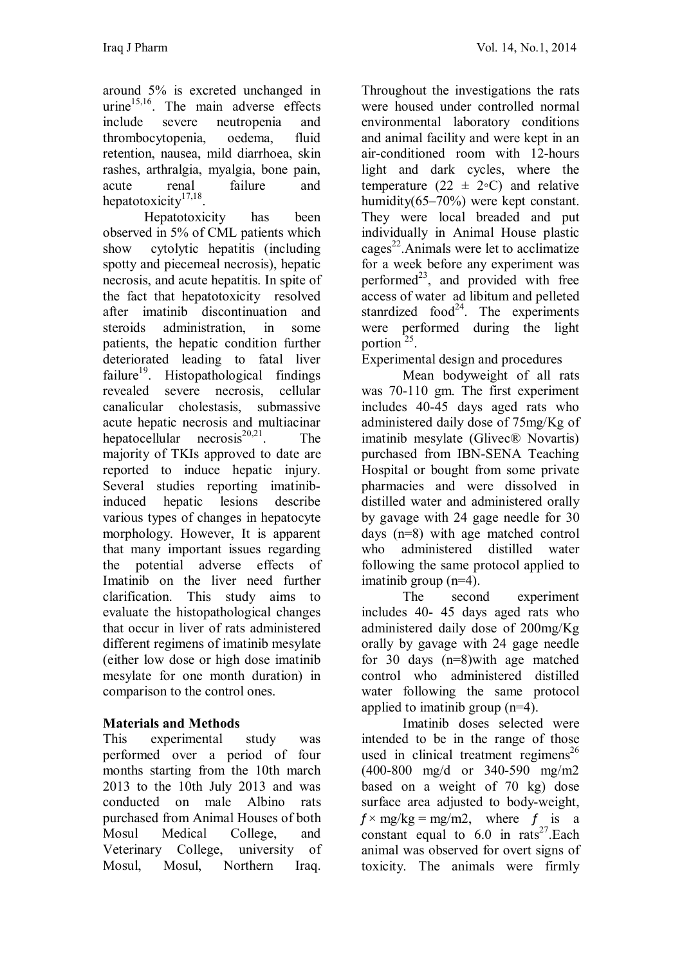around 5% is excreted unchanged in urine<sup>15,16</sup>. The main adverse effects include severe neutropenia and thrombocytopenia, oedema, fluid retention, nausea, mild diarrhoea, skin rashes, arthralgia, myalgia, bone pain, acute renal failure and hepatotoxicity<sup>17,18</sup>.

Hepatotoxicity has been observed in 5% of CML patients which show cytolytic hepatitis (including spotty and piecemeal necrosis), hepatic necrosis, and acute hepatitis. In spite of the fact that hepatotoxicity resolved after imatinib discontinuation and<br>steroids administration, in some administration, in some patients, the hepatic condition further deteriorated leading to fatal liver failure<sup>19</sup>. Histopathological findings revealed severe necrosis, cellular canalicular cholestasis, submassive acute hepatic necrosis and multiacinar hepatocellular necrosis $^{20,21}$ . . The majority of TKIs approved to date are reported to induce hepatic injury. Several studies reporting imatinibinduced hepatic lesions describe various types of changes in hepatocyte morphology. However, It is apparent that many important issues regarding the potential adverse effects of Imatinib on the liver need further clarification. This study aims to evaluate the histopathological changes that occur in liver of rats administered different regimens of imatinib mesylate (either low dose or high dose imatinib mesylate for one month duration) in comparison to the control ones.

# **Materials and Methods**

This experimental study was performed over a period of four months starting from the 10th march 2013 to the 10th July 2013 and was conducted on male Albino rats purchased from Animal Houses of both Mosul Medical College, and Veterinary College, university of Mosul, Mosul, Northern Iraq.

41

Throughout the investigations the rats were housed under controlled normal environmental laboratory conditions and animal facility and were kept in an air-conditioned room with 12-hours light and dark cycles, where the temperature (22  $\pm$  2◦C) and relative humidity(65–70%) were kept constant. They were local breaded and put individually in Animal House plastic cages<sup>22</sup>. Animals were let to acclimatize for a week before any experiment was performed<sup>23</sup>, and provided with free access of water ad libitum and pelleted stanrdized food<sup>24</sup>. The experiments were performed during the light portion<sup>25</sup>.

Experimental design and procedures

Mean bodyweight of all rats was 70-110 gm. The first experiment includes 40-45 days aged rats who administered daily dose of 75mg/Kg of imatinib mesylate (Glivec® Novartis) purchased from IBN-SENA Teaching Hospital or bought from some private pharmacies and were dissolved in distilled water and administered orally by gavage with 24 gage needle for 30 days (n=8) with age matched control who administered distilled water following the same protocol applied to imatinib group (n=4).

The second experiment includes 40- 45 days aged rats who administered daily dose of 200mg/Kg orally by gavage with 24 gage needle for 30 days (n=8)with age matched control who administered distilled water following the same protocol applied to imatinib group (n=4).

Imatinib doses selected were intended to be in the range of those used in clinical treatment regimens<sup>26</sup> (400-800 mg/d or 340-590 mg/m2 based on a weight of 70 kg) dose surface area adjusted to body-weight,  $f \times$  mg/kg = mg/m2, where *f* is a constant equal to 6.0 in rats<sup>27</sup>.Each animal was observed for overt signs of toxicity. The animals were firmly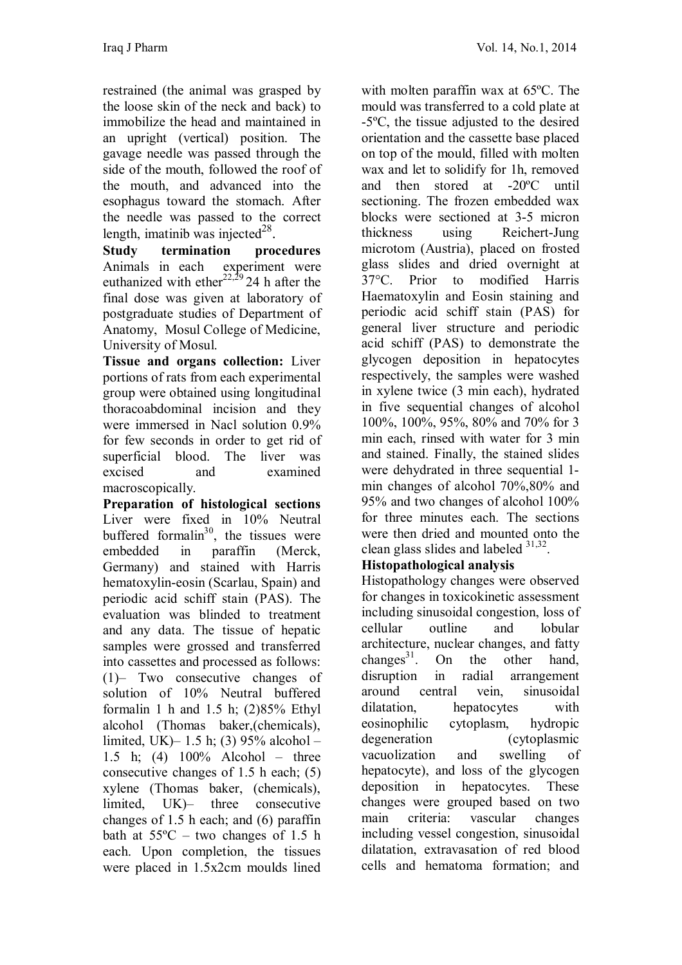restrained (the animal was grasped by the loose skin of the neck and back) to immobilize the head and maintained in an upright (vertical) position. The gavage needle was passed through the side of the mouth, followed the roof of the mouth, and advanced into the esophagus toward the stomach. After the needle was passed to the correct length, imatinib was injected $^{28}$ .

**Study termination procedures** Animals in each experiment were euthanized with ether<sup>22,29</sup> 24 h after the final dose was given at laboratory of postgraduate studies of Department of Anatomy, Mosul College of Medicine, University of Mosul.

**Tissue and organs collection:** Liver portions of rats from each experimental group were obtained using longitudinal thoracoabdominal incision and they were immersed in Nacl solution 0.9% for few seconds in order to get rid of superficial blood. The liver was excised and examined macroscopically.

**Preparation of histological sections**  Liver were fixed in 10% Neutral buffered formalin<sup>30</sup>, the tissues were embedded in paraffin (Merck, Germany) and stained with Harris hematoxylin-eosin (Scarlau, Spain) and periodic acid schiff stain (PAS). The evaluation was blinded to treatment and any data. The tissue of hepatic samples were grossed and transferred into cassettes and processed as follows: (1)– Two consecutive changes of solution of 10% Neutral buffered formalin 1 h and 1.5 h;  $(2)85%$  Ethyl alcohol (Thomas baker,(chemicals), limited, UK)– 1.5 h; (3) 95% alcohol – 1.5 h; (4) 100% Alcohol – three consecutive changes of 1.5 h each; (5) xylene (Thomas baker, (chemicals), limited, UK)– three consecutive changes of 1.5 h each; and (6) paraffin bath at  $55^{\circ}$ C – two changes of 1.5 h each. Upon completion, the tissues were placed in 1.5x2cm moulds lined

42

with molten paraffin wax at 65ºC. The mould was transferred to a cold plate at -5ºC, the tissue adjusted to the desired orientation and the cassette base placed on top of the mould, filled with molten wax and let to solidify for 1h, removed and then stored at -20ºC until sectioning. The frozen embedded wax blocks were sectioned at 3-5 micron thickness using Reichert-Jung microtom (Austria), placed on frosted glass slides and dried overnight at 37°C. Prior to modified Harris Haematoxylin and Eosin staining and periodic acid schiff stain (PAS) for general liver structure and periodic acid schiff (PAS) to demonstrate the glycogen deposition in hepatocytes respectively, the samples were washed in xylene twice (3 min each), hydrated in five sequential changes of alcohol 100%, 100%, 95%, 80% and 70% for 3 min each, rinsed with water for 3 min and stained. Finally, the stained slides were dehydrated in three sequential 1 min changes of alcohol 70%,80% and 95% and two changes of alcohol 100% for three minutes each. The sections were then dried and mounted onto the clean glass slides and labeled  $31,32$ .

### **Histopathological analysis**

Histopathology changes were observed for changes in toxicokinetic assessment including sinusoidal congestion, loss of cellular outline and lobular architecture, nuclear changes, and fatty changes<sup>31</sup>. On the other hand, disruption in radial arrangement around central vein, sinusoidal dilatation, hepatocytes with eosinophilic cytoplasm, hydropic degeneration (cytoplasmic vacuolization and swelling of hepatocyte), and loss of the glycogen deposition in hepatocytes. These changes were grouped based on two main criteria: vascular changes including vessel congestion, sinusoidal dilatation, extravasation of red blood cells and hematoma formation; and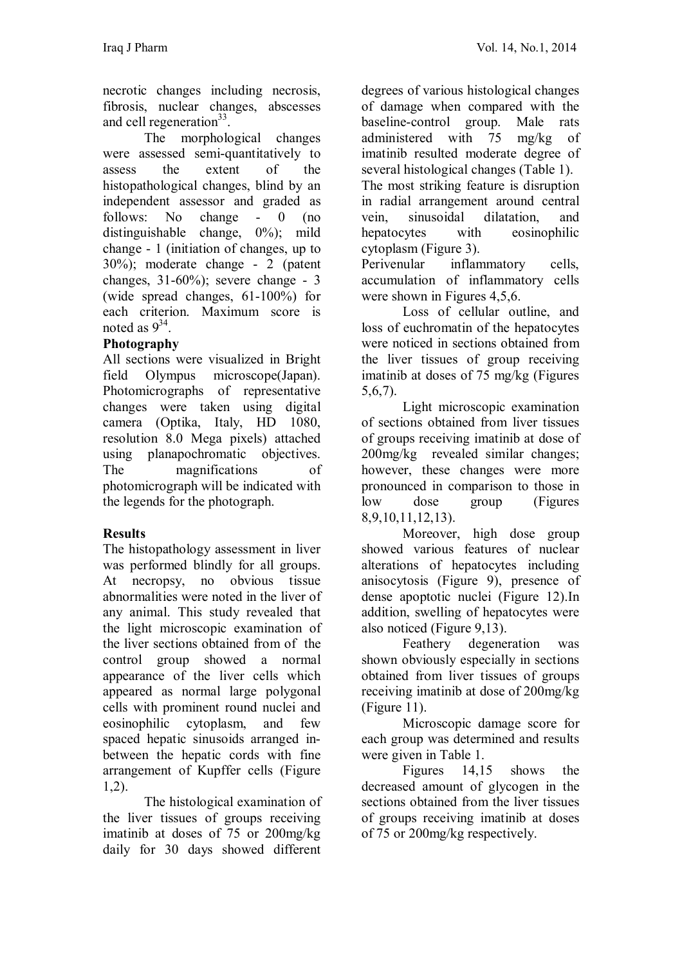necrotic changes including necrosis, fibrosis, nuclear changes, abscesses and cell regeneration<sup>33</sup>.

The morphological changes were assessed semi-quantitatively to assess the extent of the histopathological changes, blind by an independent assessor and graded as follows: No change - 0 (no distinguishable change, 0%); mild change - 1 (initiation of changes, up to 30%); moderate change - 2 (patent changes, 31-60%); severe change - 3 (wide spread changes, 61-100%) for each criterion. Maximum score is noted as  $9^{34}$ .

## **Photography**

All sections were visualized in Bright field Olympus microscope(Japan). Photomicrographs of representative changes were taken using digital camera (Optika, Italy, HD 1080, resolution 8.0 Mega pixels) attached using planapochromatic objectives. The magnifications of photomicrograph will be indicated with the legends for the photograph.

### **Results**

The histopathology assessment in liver was performed blindly for all groups. At necropsy, no obvious tissue abnormalities were noted in the liver of any animal. This study revealed that the light microscopic examination of the liver sections obtained from of the control group showed a normal appearance of the liver cells which appeared as normal large polygonal cells with prominent round nuclei and eosinophilic cytoplasm, and few spaced hepatic sinusoids arranged inbetween the hepatic cords with fine arrangement of Kupffer cells (Figure 1,2).

The histological examination of the liver tissues of groups receiving imatinib at doses of 75 or 200mg/kg daily for 30 days showed different

43

degrees of various histological changes of damage when compared with the baseline-control group. Male rats administered with 75 mg/kg of imatinib resulted moderate degree of several histological changes (Table 1). The most striking feature is disruption in radial arrangement around central vein, sinusoidal dilatation, and hepatocytes with eosinophilic cytoplasm (Figure 3).

Perivenular inflammatory cells, accumulation of inflammatory cells were shown in Figures 4,5,6.

Loss of cellular outline, and loss of euchromatin of the hepatocytes were noticed in sections obtained from the liver tissues of group receiving imatinib at doses of 75 mg/kg (Figures 5,6,7).

Light microscopic examination of sections obtained from liver tissues of groups receiving imatinib at dose of 200mg/kg revealed similar changes; however, these changes were more pronounced in comparison to those in low dose group (Figures 8,9,10,11,12,13).

Moreover, high dose group showed various features of nuclear alterations of hepatocytes including anisocytosis (Figure 9), presence of dense apoptotic nuclei (Figure 12).In addition, swelling of hepatocytes were also noticed (Figure 9,13).

Feathery degeneration was shown obviously especially in sections obtained from liver tissues of groups receiving imatinib at dose of 200mg/kg (Figure 11).

Microscopic damage score for each group was determined and results were given in Table 1.

 Figures 14,15 shows the decreased amount of glycogen in the sections obtained from the liver tissues of groups receiving imatinib at doses of 75 or 200mg/kg respectively.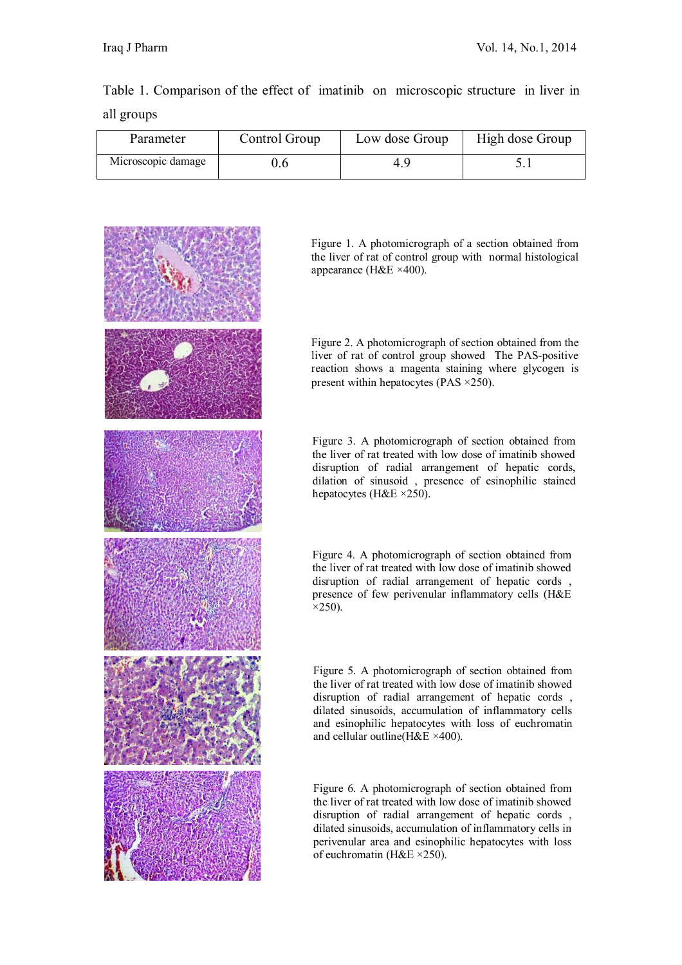| Parameter          | Control Group | Low dose Group | High dose Group |
|--------------------|---------------|----------------|-----------------|
| Microscopic damage | J.O           |                |                 |

Table 1. Comparison of the effect of imatinib on microscopic structure in liver in all groups



Figure 1. A photomicrograph of a section obtained from the liver of rat of control group with normal histological appearance (H&E  $\times$ 400).

Figure 2. A photomicrograph of section obtained from the liver of rat of control group showed The PAS-positive reaction shows a magenta staining where glycogen is present within hepatocytes (PAS ×250).

Figure 3. A photomicrograph of section obtained from the liver of rat treated with low dose of imatinib showed disruption of radial arrangement of hepatic cords, dilation of sinusoid , presence of esinophilic stained hepatocytes (H&E  $\times$ 250).

Figure 4. A photomicrograph of section obtained from the liver of rat treated with low dose of imatinib showed disruption of radial arrangement of hepatic cords , presence of few perivenular inflammatory cells (H&E  $\times$ 250).

Figure 5. A photomicrograph of section obtained from the liver of rat treated with low dose of imatinib showed disruption of radial arrangement of hepatic cords , dilated sinusoids, accumulation of inflammatory cells and esinophilic hepatocytes with loss of euchromatin and cellular outline(H&E ×400).

Figure 6. A photomicrograph of section obtained from the liver of rat treated with low dose of imatinib showed disruption of radial arrangement of hepatic cords , dilated sinusoids, accumulation of inflammatory cells in perivenular area and esinophilic hepatocytes with loss of euchromatin (H&E ×250).

44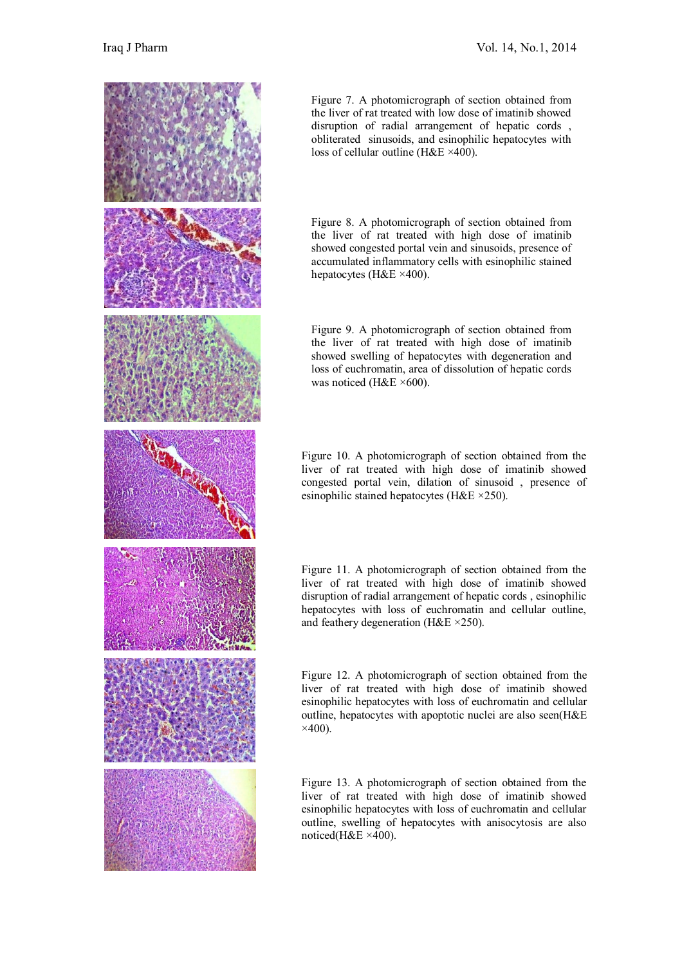

Figure 7. A photomicrograph of section obtained from the liver of rat treated with low dose of imatinib showed disruption of radial arrangement of hepatic cords , obliterated sinusoids, and esinophilic hepatocytes with loss of cellular outline (H&E ×400).

Figure 8. A photomicrograph of section obtained from the liver of rat treated with high dose of imatinib showed congested portal vein and sinusoids, presence of accumulated inflammatory cells with esinophilic stained hepatocytes (H&E ×400).

Figure 9. A photomicrograph of section obtained from the liver of rat treated with high dose of imatinib showed swelling of hepatocytes with degeneration and loss of euchromatin, area of dissolution of hepatic cords was noticed (H&E  $\times$ 600).

Figure 10. A photomicrograph of section obtained from the liver of rat treated with high dose of imatinib showed congested portal vein, dilation of sinusoid , presence of esinophilic stained hepatocytes (H&E ×250).

Figure 11. A photomicrograph of section obtained from the liver of rat treated with high dose of imatinib showed disruption of radial arrangement of hepatic cords , esinophilic hepatocytes with loss of euchromatin and cellular outline, and feathery degeneration (H&E ×250).

Figure 12. A photomicrograph of section obtained from the liver of rat treated with high dose of imatinib showed esinophilic hepatocytes with loss of euchromatin and cellular outline, hepatocytes with apoptotic nuclei are also seen(H&E  $\times$ 400).

Figure 13. A photomicrograph of section obtained from the liver of rat treated with high dose of imatinib showed esinophilic hepatocytes with loss of euchromatin and cellular outline, swelling of hepatocytes with anisocytosis are also noticed(H&E ×400).

45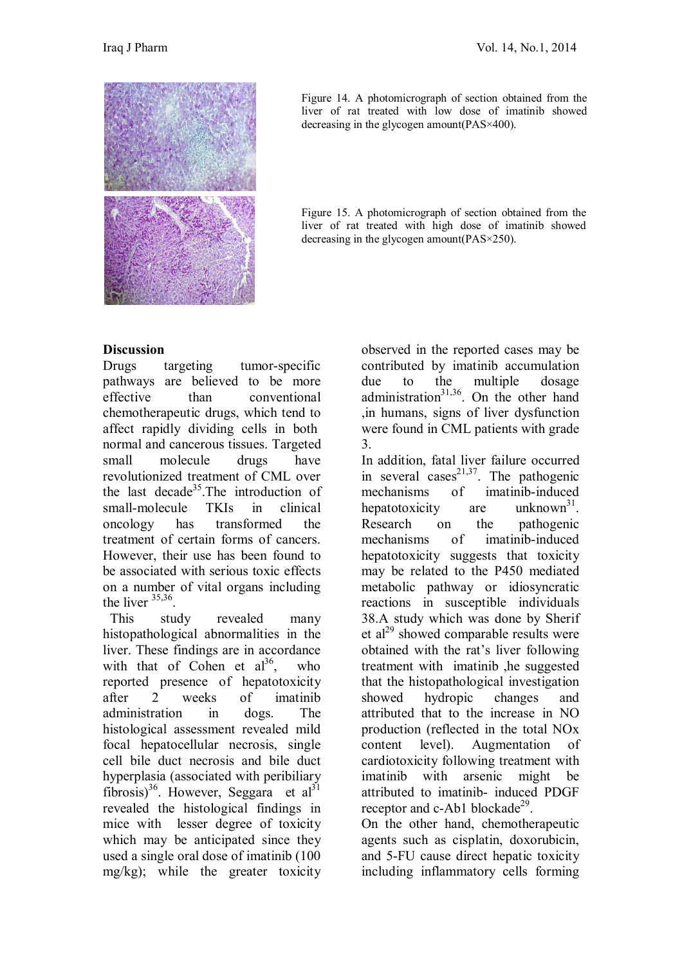

Figure 14. A photomicrograph of section obtained from the liver of rat treated with low dose of imatinib showed decreasing in the glycogen amount(PAS×400).

Figure 15. A photomicrograph of section obtained from the liver of rat treated with high dose of imatinib showed decreasing in the glycogen amount(PAS×250).

#### **Discussion**

Drugs targeting tumor-specific pathways are believed to be more effective than conventional chemotherapeutic drugs, which tend to affect rapidly dividing cells in both normal and cancerous tissues. Targeted small molecule drugs have revolutionized treatment of CML over the last decade<sup>35</sup>. The introduction of small-molecule TKIs in clinical oncology has transformed the treatment of certain forms of cancers. However, their use has been found to be associated with serious toxic effects on a number of vital organs including the liver  $35,36$ .

 This study revealed many histopathological abnormalities in the liver. These findings are in accordance with that of Cohen et  $al^{36}$ , who reported presence of hepatotoxicity after 2 weeks of imatinib administration in dogs. The histological assessment revealed mild focal hepatocellular necrosis, single cell bile duct necrosis and bile duct hyperplasia (associated with peribiliary fibrosis)<sup>36</sup>. However, Seggara et al<sup>31</sup> revealed the histological findings in mice with lesser degree of toxicity which may be anticipated since they used a single oral dose of imatinib (100 mg/kg); while the greater toxicity

46

observed in the reported cases may be contributed by imatinib accumulation due to the multiple dosage administration $31,36$ . On the other hand ,in humans, signs of liver dysfunction were found in CML patients with grade 3.

In addition, fatal liver failure occurred in several cases<sup>21,37</sup>. The pathogenic mechanisms of imatinib-induced hepatotoxicity are unknown $31$ . Research on the pathogenic mechanisms of imatinib-induced hepatotoxicity suggests that toxicity may be related to the P450 mediated metabolic pathway or idiosyncratic reactions in susceptible individuals 38.A study which was done by Sherif et  $al^{29}$  showed comparable results were obtained with the rat's liver following treatment with imatinib ,he suggested that the histopathological investigation showed hydropic changes and attributed that to the increase in NO production (reflected in the total NOx content level). Augmentation of cardiotoxicity following treatment with imatinib with arsenic might be attributed to imatinib- induced PDGF receptor and c-Ab1 blockade<sup>29</sup>.

On the other hand, chemotherapeutic agents such as cisplatin, doxorubicin, and 5-FU cause direct hepatic toxicity including inflammatory cells forming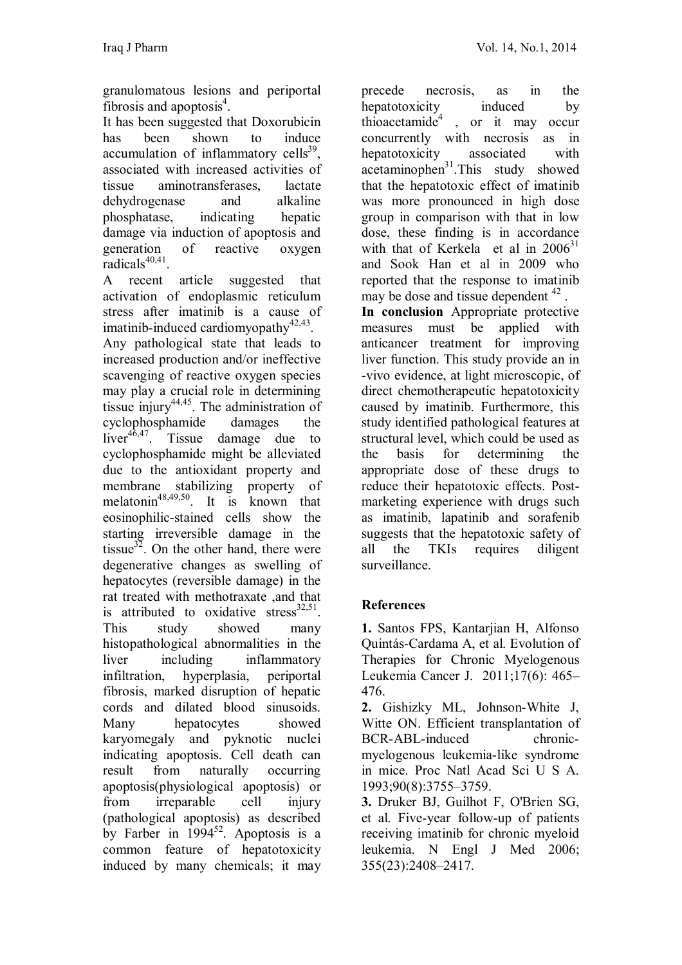granulomatous lesions and periportal  $fibrosis$  and apoptosis<sup>4</sup>.

It has been suggested that Doxorubicin has been shown to induce accumulation of inflammatory cells $39$ , associated with increased activities of tissue aminotransferases, lactate dehydrogenase and alkaline phosphatase, indicating hepatic damage via induction of apoptosis and generation of reactive oxygen  $radicals<sup>40,41</sup>$ .

A recent article suggested that activation of endoplasmic reticulum stress after imatinib is a cause of imatinib-induced cardiomyopathy $42,43$ .

Any pathological state that leads to increased production and/or ineffective scavenging of reactive oxygen species may play a crucial role in determining tissue injury<sup>44,45</sup>. The administration of cyclophosphamide damages the  $liver^{46,47}$ . Tissue damage due to cyclophosphamide might be alleviated due to the antioxidant property and membrane stabilizing property of melatonin<sup>48,49,50</sup>. It is known that eosinophilic-stained cells show the starting irreversible damage in the tissue $^{32}$ . On the other hand, there were degenerative changes as swelling of hepatocytes (reversible damage) in the rat treated with methotraxate ,and that is attributed to oxidative stress<sup>32,51</sup>. This study showed many histopathological abnormalities in the liver including inflammatory infiltration, hyperplasia, periportal fibrosis, marked disruption of hepatic cords and dilated blood sinusoids. Many hepatocytes showed karyomegaly and pyknotic nuclei indicating apoptosis. Cell death can result from naturally occurring apoptosis(physiological apoptosis) or from irreparable cell injury (pathological apoptosis) as described by Farber in  $1994^{52}$ . Apoptosis is a common feature of hepatotoxicity induced by many chemicals; it may

precede necrosis, as in the hepatotoxicity induced by thioacetamide<sup>4</sup> , or it may occur concurrently with necrosis as in hepatotoxicity associated with acetaminophen<sup>31</sup>. This study showed that the hepatotoxic effect of imatinib was more pronounced in high dose group in comparison with that in low dose, these finding is in accordance with that of Kerkela et al in  $2006^{31}$ and Sook Han et al in 2009 who reported that the response to imatinib may be dose and tissue dependent <sup>42</sup>.

**In conclusion** Appropriate protective measures must be applied with anticancer treatment for improving liver function. This study provide an in -vivo evidence, at light microscopic, of direct chemotherapeutic hepatotoxicity caused by imatinib. Furthermore, this study identified pathological features at structural level, which could be used as the basis for determining the appropriate dose of these drugs to reduce their hepatotoxic effects. Postmarketing experience with drugs such as imatinib, lapatinib and sorafenib suggests that the hepatotoxic safety of all the TKIs requires diligent surveillance.

# **References**

47

**1.** Santos FPS, Kantarjian H, Alfonso Quintás-Cardama A, et al. Evolution of Therapies for Chronic Myelogenous Leukemia Cancer J. 2011;17(6): 465– 476.

**2.** Gishizky ML, Johnson-White J, Witte ON. Efficient transplantation of BCR-ABL-induced chronicmyelogenous leukemia-like syndrome in mice. Proc Natl Acad Sci U S A. 1993;90(8):3755–3759.

**3.** Druker BJ, Guilhot F, O'Brien SG, et al. Five-year follow-up of patients receiving imatinib for chronic myeloid leukemia. N Engl J Med 2006; 355(23):2408–2417.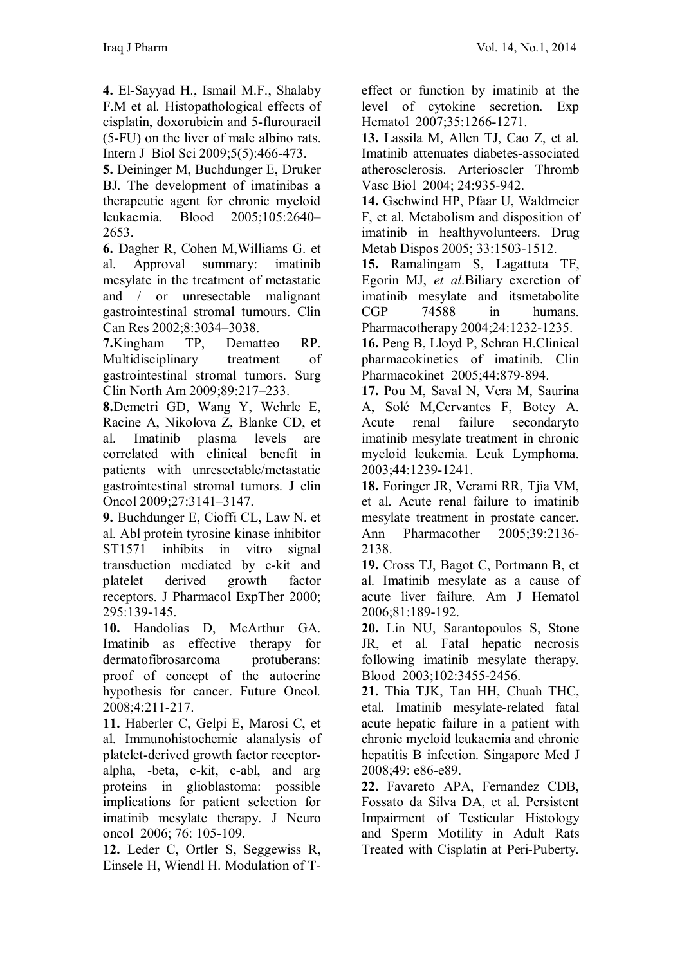**4.** El-Sayyad H., Ismail M.F., Shalaby F.M et al. Histopathological effects of cisplatin, doxorubicin and 5-flurouracil (5-FU) on the liver of male albino rats. Intern J Biol Sci 2009;5(5):466-473.

**5.** Deininger M, Buchdunger E, Druker BJ. The development of imatinibas a therapeutic agent for chronic myeloid leukaemia. Blood 2005;105:2640– 2653.

**6.** Dagher R, Cohen M,Williams G. et al. Approval summary: imatinib mesylate in the treatment of metastatic and / or unresectable malignant gastrointestinal stromal tumours. Clin Can Res 2002;8:3034–3038.

**7.**Kingham TP, Dematteo RP. Multidisciplinary treatment of gastrointestinal stromal tumors. Surg Clin North Am 2009;89:217–233.

**8.**Demetri GD, Wang Y, Wehrle E, Racine A, Nikolova Z, Blanke CD, et al. Imatinib plasma levels are correlated with clinical benefit in patients with unresectable/metastatic gastrointestinal stromal tumors. J clin Oncol 2009;27:3141–3147.

**9.** Buchdunger E, Cioffi CL, Law N. et al. Abl protein tyrosine kinase inhibitor ST1571 inhibits in vitro signal transduction mediated by c-kit and platelet derived growth factor receptors. J Pharmacol ExpTher 2000; 295:139-145.

**10.** Handolias D, McArthur GA. Imatinib as effective therapy for dermatofibrosarcoma protuberans: proof of concept of the autocrine hypothesis for cancer. Future Oncol. 2008;4:211-217.

**11.** Haberler C, Gelpi E, Marosi C, et al. Immunohistochemic alanalysis of platelet-derived growth factor receptoralpha, -beta, c-kit, c-abl, and arg proteins in glioblastoma: possible implications for patient selection for imatinib mesylate therapy. J Neuro oncol 2006; 76: 105-109.

**12.** Leder C, Ortler S, Seggewiss R, Einsele H, Wiendl H. Modulation of T-

48

effect or function by imatinib at the level of cytokine secretion. Exp Hematol 2007;35:1266-1271.

**13.** Lassila M, Allen TJ, Cao Z, et al. Imatinib attenuates diabetes-associated atherosclerosis. Arterioscler Thromb Vasc Biol 2004; 24:935-942.

**14.** Gschwind HP, Pfaar U, Waldmeier F, et al. Metabolism and disposition of imatinib in healthyvolunteers. Drug Metab Dispos 2005; 33:1503-1512.

**15.** Ramalingam S, Lagattuta TF, Egorin MJ, *et al*.Biliary excretion of imatinib mesylate and itsmetabolite CGP 74588 in humans. Pharmacotherapy 2004;24:1232-1235.

**16.** Peng B, Lloyd P, Schran H.Clinical pharmacokinetics of imatinib. Clin Pharmacokinet 2005;44:879-894.

**17.** Pou M, Saval N, Vera M, Saurina A, Solé M,Cervantes F, Botey A. Acute renal failure secondaryto imatinib mesylate treatment in chronic myeloid leukemia. Leuk Lymphoma. 2003;44:1239-1241.

**18.** Foringer JR, Verami RR, Tjia VM, et al. Acute renal failure to imatinib mesylate treatment in prostate cancer. Ann Pharmacother 2005;39:2136- 2138.

**19.** Cross TJ, Bagot C, Portmann B, et al. Imatinib mesylate as a cause of acute liver failure. Am J Hematol 2006;81:189-192.

**20.** Lin NU, Sarantopoulos S, Stone JR, et al. Fatal hepatic necrosis following imatinib mesylate therapy. Blood 2003;102:3455-2456.

**21.** Thia TJK, Tan HH, Chuah THC, etal. Imatinib mesylate-related fatal acute hepatic failure in a patient with chronic myeloid leukaemia and chronic hepatitis B infection. Singapore Med J 2008;49: e86-e89.

**22.** Favareto APA, Fernandez CDB, Fossato da Silva DA, et al. Persistent Impairment of Testicular Histology and Sperm Motility in Adult Rats Treated with Cisplatin at Peri-Puberty.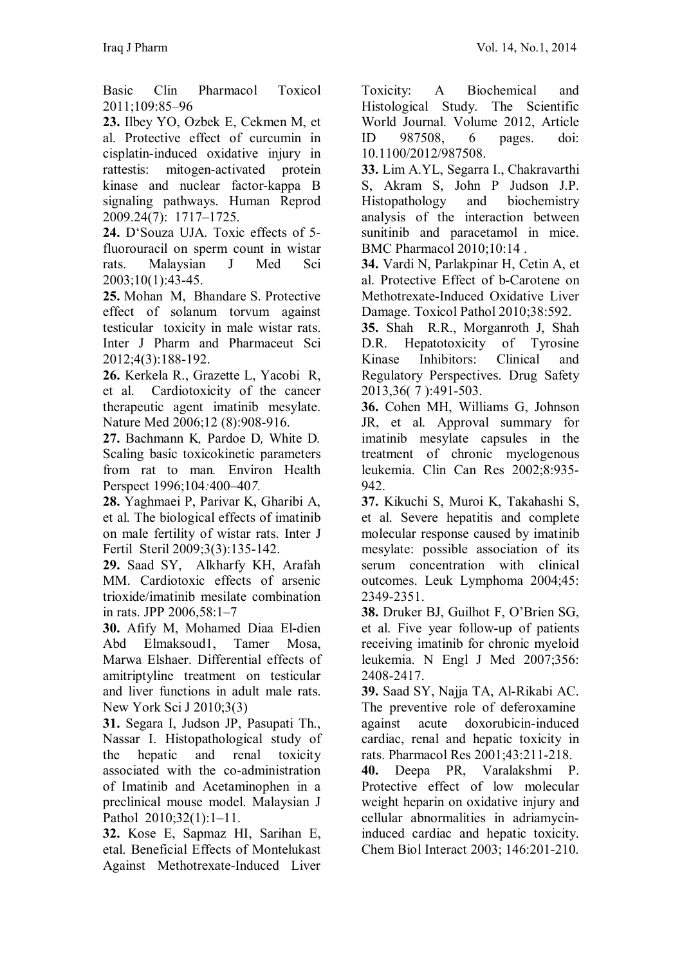Basic Clin Pharmacol Toxicol 2011;109:85–96

**23.** Ilbey YO, Ozbek E, Cekmen M, et al. Protective effect of curcumin in cisplatin-induced oxidative injury in rattestis: mitogen-activated protein kinase and nuclear factor-kappa B signaling pathways. Human Reprod 2009.24(7): 1717–1725.

**24.** D'Souza UJA. Toxic effects of 5 fluorouracil on sperm count in wistar rats. Malaysian J Med Sci 2003;10(1):43-45.

**25.** Mohan M, Bhandare S. Protective effect of solanum torvum against testicular toxicity in male wistar rats. Inter J Pharm and Pharmaceut Sci 2012;4(3):188-192.

**26.** Kerkela R., Grazette L, Yacobi R, et al. Cardiotoxicity of the cancer therapeutic agent imatinib mesylate. Nature Med 2006;12 (8):908-916.

**27.** Bachmann K*,* Pardoe D*,* White D*.*  Scaling basic toxicokinetic parameters from rat to man*.* Environ Health Perspect 1996;104*:*400–40*7.*

**28.** Yaghmaei P, Parivar K, Gharibi A, et al. The biological effects of imatinib on male fertility of wistar rats. Inter J Fertil Steril 2009;3(3):135-142.

**29.** Saad SY, Alkharfy KH, Arafah MM. Cardiotoxic effects of arsenic trioxide/imatinib mesilate combination in rats. JPP 2006,58:1–7

**30.** Afify M, Mohamed Diaa El-dien Abd Elmaksoud1, Tamer Mosa, Marwa Elshaer. Differential effects of amitriptyline treatment on testicular and liver functions in adult male rats. New York Sci J 2010;3(3)

**31.** Segara I, Judson JP, Pasupati Th., Nassar I. Histopathological study of the hepatic and renal toxicity associated with the co-administration of Imatinib and Acetaminophen in a preclinical mouse model. Malaysian J Pathol 2010;32(1):1-11.

**32.** Kose E, Sapmaz HI, Sarihan E, etal. Beneficial Effects of Montelukast Against Methotrexate-Induced Liver

49

Toxicity: A Biochemical and Histological Study. The Scientific World Journal. Volume 2012, Article ID 987508, 6 pages. doi: 10.1100/2012/987508.

**33.** Lim A.YL, Segarra I., Chakravarthi S, Akram S, John P Judson J.P. Histopathology and biochemistry analysis of the interaction between sunitinib and paracetamol in mice. BMC Pharmacol 2010;10:14 .

**34.** Vardi N, Parlakpinar H, Cetin A, et al. Protective Effect of b-Carotene on Methotrexate-Induced Oxidative Liver Damage. Toxicol Pathol 2010;38:592.

**35.** Shah R.R., Morganroth J, Shah D.R. Hepatotoxicity of Tyrosine Kinase Inhibitors: Clinical and Regulatory Perspectives. Drug Safety 2013,36( 7 ):491-503.

**36.** Cohen MH, Williams G, Johnson JR, et al. Approval summary for imatinib mesylate capsules in the treatment of chronic myelogenous leukemia. Clin Can Res 2002;8:935- 942.

**37.** Kikuchi S, Muroi K, Takahashi S, et al. Severe hepatitis and complete molecular response caused by imatinib mesylate: possible association of its serum concentration with clinical outcomes. Leuk Lymphoma 2004;45: 2349-2351.

**38.** Druker BJ, Guilhot F, O'Brien SG, et al. Five year follow-up of patients receiving imatinib for chronic myeloid leukemia. N Engl J Med 2007;356: 2408-2417.

**39.** Saad SY, Najja TA, Al-Rikabi AC. The preventive role of deferoxamine against acute doxorubicin-induced cardiac, renal and hepatic toxicity in rats. Pharmacol Res 2001;43:211-218.

**40.** Deepa PR, Varalakshmi P. Protective effect of low molecular weight heparin on oxidative injury and cellular abnormalities in adriamycininduced cardiac and hepatic toxicity. Chem Biol Interact 2003; 146:201-210.